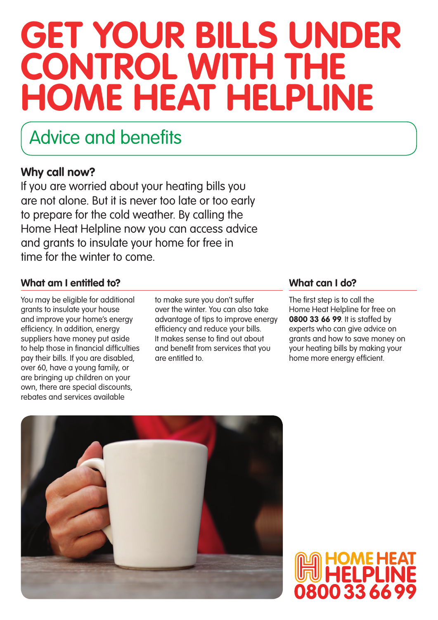## **Get your bills under control with the Home Heat Helpline**

### Advice and benefits

### **Why call now?**

If you are worried about your heating bills you are not alone. But it is never too late or too early to prepare for the cold weather. By calling the Home Heat Helpline now you can access advice and grants to insulate your home for free in time for the winter to come.

### **What am I entitled to? What can I do?**

You may be eligible for additional grants to insulate your house and improve your home's energy efficiency. In addition, energy suppliers have money put aside to help those in financial difficulties pay their bills. If you are disabled, over 60, have a young family, or are bringing up children on your own, there are special discounts, rebates and services available

to make sure you don't suffer over the winter. You can also take advantage of tips to improve energy efficiency and reduce your bills. It makes sense to find out about and benefit from services that you are entitled to.

The first step is to call the Home Heat Helpline for free on **0800 33 66 99**. It is staffed by experts who can give advice on grants and how to save money on your heating bills by making your home more energy efficient.



# 800 33 66 9